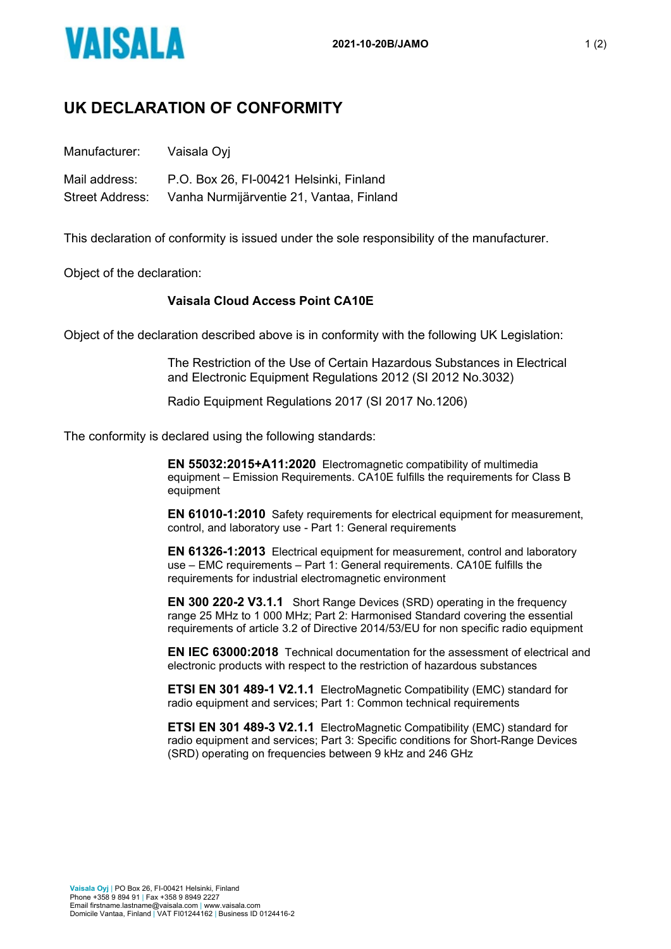

## **UK DECLARATION OF CONFORMITY**

Manufacturer: Vaisala Oyj

Mail address: P.O. Box 26, FI-00421 Helsinki, Finland Street Address: Vanha Nurmijärventie 21, Vantaa, Finland

This declaration of conformity is issued under the sole responsibility of the manufacturer.

Object of the declaration:

## **Vaisala Cloud Access Point CA10E**

Object of the declaration described above is in conformity with the following UK Legislation:

The Restriction of the Use of Certain Hazardous Substances in Electrical and Electronic Equipment Regulations 2012 (SI 2012 No.3032)

Radio Equipment Regulations 2017 (SI 2017 No.1206)

The conformity is declared using the following standards:

**EN 55032:2015+A11:2020** Electromagnetic compatibility of multimedia equipment – Emission Requirements. CA10E fulfills the requirements for Class B equipment

**EN 61010-1:2010** Safety requirements for electrical equipment for measurement, control, and laboratory use - Part 1: General requirements

**EN 61326-1:2013** Electrical equipment for measurement, control and laboratory use – EMC requirements – Part 1: General requirements. CA10E fulfills the requirements for industrial electromagnetic environment

**EN 300 220-2 V3.1.1** Short Range Devices (SRD) operating in the frequency range 25 MHz to 1 000 MHz; Part 2: Harmonised Standard covering the essential requirements of article 3.2 of Directive 2014/53/EU for non specific radio equipment

**EN IEC 63000:2018** Technical documentation for the assessment of electrical and electronic products with respect to the restriction of hazardous substances

**ETSI EN 301 489-1 V2.1.1** ElectroMagnetic Compatibility (EMC) standard for radio equipment and services; Part 1: Common technical requirements

**ETSI EN 301 489-3 V2.1.1** ElectroMagnetic Compatibility (EMC) standard for radio equipment and services; Part 3: Specific conditions for Short-Range Devices (SRD) operating on frequencies between 9 kHz and 246 GHz